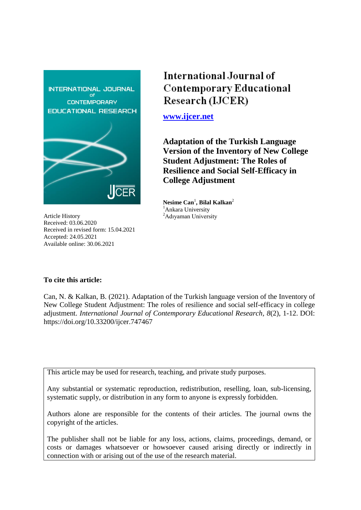

Article History Received: 03.06.2020 Received in revised form: 15.04.2021 Accepted: 24.05.2021 Available online: 30.06.2021

# International Journal of **Contemporary Educational** Research (IJCER)

**[www.ijcer.net](http://www.ijcer.net/)**

**Adaptation of the Turkish Language Version of the Inventory of New College Student Adjustment: The Roles of Resilience and Social Self-Efficacy in College Adjustment**

**Nesime Can**<sup>1</sup> **, Bilal Kalkan**<sup>2</sup> <sup>1</sup>Ankara University <sup>2</sup>Adıyaman University

# **To cite this article:**

Can, N. & Kalkan, B. (2021). Adaptation of the Turkish language version of the Inventory of New College Student Adjustment: The roles of resilience and social self-efficacy in college adjustment. *International Journal of Contemporary Educational Research, 8*(2), 1-12. DOI: https://doi.org/10.33200/ijcer.747467

This article may be used for research, teaching, and private study purposes.

Any substantial or systematic reproduction, redistribution, reselling, loan, sub-licensing, systematic supply, or distribution in any form to anyone is expressly forbidden.

Authors alone are responsible for the contents of their articles. The journal owns the copyright of the articles.

The publisher shall not be liable for any loss, actions, claims, proceedings, demand, or costs or damages whatsoever or howsoever caused arising directly or indirectly in connection with or arising out of the use of the research material.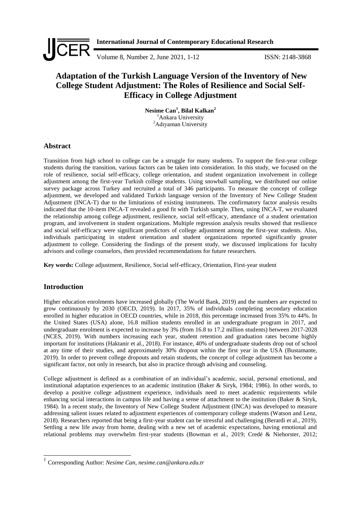

# **Adaptation of the Turkish Language Version of the Inventory of New College Student Adjustment: The Roles of Resilience and Social Self-Efficacy in College Adjustment**

**Nesime Can<sup>1</sup> , Bilal Kalkan<sup>2</sup>** <sup>1</sup>Ankara University <sup>2</sup>Adıyaman University

# **Abstract**

Transition from high school to college can be a struggle for many students. To support the first-year college students during the transition, various factors can be taken into consideration. In this study, we focused on the role of resilience, social self-efficacy, college orientation, and student organization involvement in college adjustment among the first-year Turkish college students. Using snowball sampling, we distributed our online survey package across Turkey and recruited a total of 346 participants. To measure the concept of college adjustment, we developed and validated Turkish language version of the Inventory of New College Student Adjustment (INCA-T) due to the limitations of existing instruments. The confirmatory factor analysis results indicated that the 10-item INCA-T revealed a good fit with Turkish sample. Then, using INCA-T, we evaluated the relationship among college adjustment, resilience, social self-efficacy, attendance of a student orientation program, and involvement in student organizations. Multiple regression analysis results showed that resilience and social self-efficacy were significant predictors of college adjustment among the first-year students. Also, individuals participating in student orientation and student organizations reported significantly greater adjustment to college. Considering the findings of the present study, we discussed implications for faculty advisors and college counselors, then provided recommendations for future researchers.

**Key words:** College adjustment, Resilience, Social self-efficacy, Orientation, First-year student

# **Introduction**

-

Higher education enrolments have increased globally (The World Bank, 2019) and the numbers are expected to grow continuously by 2030 (OECD, 2019). In 2017, 35% of individuals completing secondary education enrolled in higher education in OECD countries, while in 2018, this percentage increased from 35% to 44%. In the United States (USA) alone, 16.8 million students enrolled in an undergraduate program in 2017, and undergraduate enrolment is expected to increase by 3% (from 16.8 to 17.2 million students) between 2017-2028 (NCES, 2019). With numbers increasing each year, student retention and graduation rates become highly important for institutions (Haktanir et al., 2018). For instance, 40% of undergraduate students drop out of school at any time of their studies, and approximately 30% dropout within the first year in the USA (Bustamante, 2019). In order to prevent college dropouts and retain students, the concept of college adjustment has become a significant factor, not only in research, but also in practice through advising and counseling.

College adjustment is defined as a combination of an individual"s academic, social, personal emotional, and institutional adaptation experiences to an academic institution (Baker & Siryk, 1984; 1986). In other words, to develop a positive college adjustment experience, individuals need to meet academic requirements while enhancing social interactions in campus life and having a sense of attachment to the institution (Baker & Siryk, 1984). In a recent study, the Inventory of New College Student Adjustment (INCA) was developed to measure addressing salient issues related to adjustment experiences of contemporary college students (Watson and Lenz, 2018). Researchers reported that being a first-year student can be stressful and challenging (Berardi et al., 2019). Settling a new life away from home, dealing with a new set of academic expectations, having emotional and relational problems may overwhelm first-year students (Bowman et al., 2019; Credé & Niehorster, 2012;

<sup>1</sup> Corresponding Author: *Nesime Can, nesime.can@ankara.edu.tr*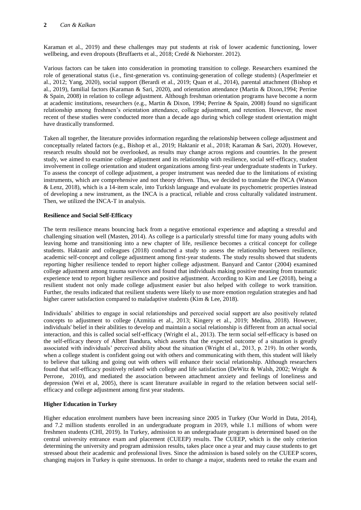Karaman et al., 2019) and these challenges may put students at risk of lower academic functioning, lower wellbeing, and even dropouts (Bruffaerts et al., 2018; Credé & Niehorster. 2012).

Various factors can be taken into consideration in promoting transition to college. Researchers examined the role of generational status (i.e., first-generation vs. continuing-generation of college students) (Asperlmeier et al., 2012; Yang, 2020), social support (Berardi et al., 2019; Quan et al., 2014), parental attachment (Bishop et al., 2019), familial factors (Karaman & Sari, 2020), and orientation attendance (Martin & Dixon,1994; Perrine & Spain, 2008) in relation to college adjustment. Although freshman orientation programs have become a norm at academic institutions, researchers (e.g., Martin & Dixon, 1994; Perrine & Spain, 2008) found no significant relationship among freshmen"s orientation attendance, college adjustment, and retention. However, the most recent of these studies were conducted more than a decade ago during which college student orientation might have drastically transformed.

Taken all together, the literature provides information regarding the relationship between college adjustment and conceptually related factors (e.g., Bishop et al., 2019; Haktanir et al., 2018; Karaman & Sari, 2020). However, research results should not be overlooked, as results may change across regions and countries. In the present study, we aimed to examine college adjustment and its relationship with resilience, social self-efficacy, student involvement in college orientation and student organizations among first-year undergraduate students in Turkey. To assess the concept of college adjustment, a proper instrument was needed due to the limitations of existing instruments, which are comprehensive and not theory driven. Thus, we decided to translate the INCA (Watson & Lenz, 2018), which is a 14-item scale, into Turkish language and evaluate its psychometric properties instead of developing a new instrument, as the INCA is a practical, reliable and cross culturally validated instrument. Then, we utilized the INCA-T in analysis.

# **Resilience and Social Self-Efficacy**

The term resilience means bouncing back from a negative emotional experience and adapting a stressful and challenging situation well (Masten, 2014). As college is a particularly stressful time for many young adults with leaving home and transitioning into a new chapter of life, resilience becomes a critical concept for college students. Haktanir and colleagues (2018) conducted a study to assess the relationship between resilience, academic self-concept and college adjustment among first-year students. The study results showed that students reporting higher resilience tended to report higher college adjustment. Banyard and Cantor (2004) examined college adjustment among trauma survivors and found that individuals making positive meaning from traumatic experience tend to report higher resilience and positive adjustment. According to Kim and Lee (2018), being a resilient student not only made college adjustment easier but also helped with college to work transition. Further, the results indicated that resilient students were likely to use more emotion regulation strategies and had higher career satisfaction compared to maladaptive students (Kim & Lee, 2018).

Individuals" abilities to engage in social relationships and perceived social support are also positively related concepts to adjustment to college (Azmitia et al., 2013; Kingery et al., 2019; Medina, 2018). However, individuals' belief in their abilities to develop and maintain a social relationship is different from an actual social interaction, and this is called social self-efficacy (Wright el al., 2013). The term social self-efficacy is based on the self-efficacy theory of Albert Bandura, which asserts that the expected outcome of a situation is greatly associated with individuals" perceived ability about the situation (Wright el al., 2013, p. 219). In other words, when a college student is confident going out with others and communicating with them, this student will likely to believe that talking and going out with others will enhance their social relationship. Although researchers found that self-efficacy positively related with college and life satisfaction (DeWitz & Walsh, 2002; Wright & Perrone, 2010), and mediated the association between attachment anxiety and feelings of loneliness and depression (Wei et al, 2005), there is scant literature available in regard to the relation between social selfefficacy and college adjustment among first year students.

# **Higher Education in Turkey**

Higher education enrolment numbers have been increasing since 2005 in Turkey (Our World in Data, 2014), and 7.2 million students enrolled in an undergraduate program in 2019, while 1.1 millions of whom were freshmen students (CHI, 2019). In Turkey, admission to an undergraduate program is determined based on the central university entrance exam and placement (CUEEP) results. The CUEEP, which is the only criterion determining the university and program admission results, takes place once a year and may cause students to get stressed about their academic and professional lives. Since the admission is based solely on the CUEEP scores, changing majors in Turkey is quite strenuous. In order to change a major, students need to retake the exam and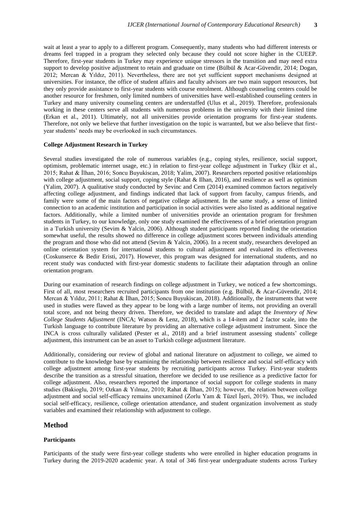wait at least a year to apply to a different program. Consequently, many students who had different interests or dreams feel trapped in a program they selected only because they could not score higher in the CUEEP. Therefore, first-year students in Turkey may experience unique stressors in the transition and may need extra support to develop positive adjustment to retain and graduate on time (Bülbül & Acar-Güvendir, 2014; Dogan, 2012; Mercan & Yıldız, 2011). Nevertheless, there are not yet sufficient support mechanisms designed at universities. For instance, the office of student affairs and faculty advisors are two main support resources, but they only provide assistance to first-year students with course enrolment. Although counseling centers could be another resource for freshmen, only limited numbers of universities have well-established counseling centers in Turkey and many university counseling centers are understaffed (Ulus et al., 2019). Therefore, professionals working in these centers serve all students with numerous problems in the university with their limited time (Erkan et al., 2011). Ultimately, not all universities provide orientation programs for first-year students. Therefore, not only we believe that further investigation on the topic is warranted, but we also believe that firstyear students" needs may be overlooked in such circumstances.

#### **College Adjustment Research in Turkey**

Several studies investigated the role of numerous variables (e.g., coping styles, resilience, social support, optimism, problematic internet usage, etc.) in relation to first-year college adjustment in Turkey (İkiz et al., 2015; Rahat & İlhan, 2016; Soncu Buyukiscan, 2018; Yalim, 2007). Researchers reported positive relationships with college adjustment, social support, coping style (Rahat & Ilhan, 2016), and resilience as well as optimism (Yalim, 2007). A qualitative study conducted by Sevinc and Cem (2014) examined common factors negatively affecting college adjustment, and findings indicated that lack of support from faculty, campus friends, and family were some of the main factors of negative college adjustment. In the same study, a sense of limited connection to an academic institution and participation in social activities were also listed as additional negative factors. Additionally, while a limited number of universities provide an orientation program for freshmen students in Turkey, to our knowledge, only one study examined the effectiveness of a brief orientation program in a Turkish university (Sevim & Yalcin, 2006). Although student participants reported finding the orientation somewhat useful, the results showed no difference in college adjustment scores between individuals attending the program and those who did not attend (Sevim & Yalcin, 2006). In a recent study, researchers developed an online orientation system for international students to cultural adjustment and evaluated its effectiveness (Coskunserce & Bedir Eristi, 2017). However, this program was designed for international students, and no recent study was conducted with first-year domestic students to facilitate their adaptation through an online orientation program.

During our examination of research findings on college adjustment in Turkey, we noticed a few shortcomings. First of all, most researchers recruited participants from one institution (e.g. Bülbül, & Acar-Güvendir, 2014; Mercan & Yıldız, 2011; Rahat & İlhan, 2015; Soncu Buyukiscan, 2018). Additionally, the instruments that were used in studies were flawed as they appear to be long with a large number of items, not providing an overall total score, and not being theory driven. Therefore, we decided to translate and adapt the *Inventory of New College Students Adjustment* (INCA; Watson & Lenz, 2018), which is a 14-item and 2 factor scale, into the Turkish language to contribute literature by providing an alternative college adjustment instrument. Since the INCA is cross culturally validated (Pester et al., 2018) and a brief instrument assessing students" college adjustment, this instrument can be an asset to Turkish college adjustment literature.

Additionally, considering our review of global and national literature on adjustment to college, we aimed to contribute to the knowledge base by examining the relationship between resilience and social self-efficacy with college adjustment among first-year students by recruiting participants across Turkey. First-year students describe the transition as a stressful situation, therefore we decided to use resilience as a predictive factor for college adjustment. Also, researchers reported the importance of social support for college students in many studies (Bakioglu, 2019; Ozkan & Yılmaz, 2010; Rahat & İlhan, 2015); however, the relation between college adjustment and social self-efficacy remains unexamined (Zorlu Yam & Tüzel İşeri, 2019). Thus, we included social self-efficacy, resilience, college orientation attendance, and student organization involvement as study variables and examined their relationship with adjustment to college.

# **Method**

#### **Participants**

Participants of the study were first-year college students who were enrolled in higher education programs in Turkey during the 2019-2020 academic year. A total of 346 first-year undergraduate students across Turkey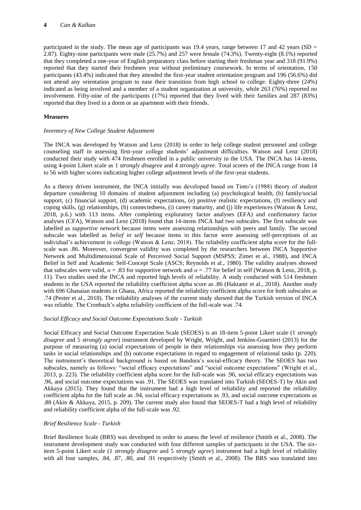participated in the study. The mean age of participants was 19.4 years, range between 17 and 42 years (SD  $=$ 2.87). Eighty-nine participants were male (25.7%) and 257 were female (74.3%). Twenty-eight (8.1%) reported that they completed a one-year of English preparatory class before starting their freshman year and 318 (91.9%) reported that they started their freshmen year without preliminary coursework. In terms of orientation, 150 participants (43.4%) indicated that they attended the first-year student orientation program and 196 (56.6%) did not attend any orientation program to ease their transition from high school to college. Eighty-three (24%) indicated as being involved and a member of a student organization at university, while 263 (76%) reported no involvement. Fifty-nine of the participants (17%) reported that they lived with their families and 287 (83%) reported that they lived in a dorm or an apartment with their friends.

# **Measures**

### *Inventory of New College Student Adjustment*

The INCA was developed by Watson and Lenz (2018) in order to help college student personnel and college counseling staff in assessing first-year college students" adjustment difficulties. Watson and Lenz (2018) conducted their study with 474 freshmen enrolled in a public university in the USA. The INCA has 14-items, using 4-point Likert scale as 1 *strongly disagree* and 4 *strongly agree*. Total scores of the INCA range from 14 to 56 with higher scores indicating higher college adjustment levels of the first-year students.

As a theory driven instrument, the INCA initially was developed based on Tinto"s (1988) theory of student departure considering 10 domains of student adjustment including (a) psychological health, (b) family/social support, (c) financial support, (d) academic expectations, (e) positive realistic expectations, (f) resiliency and coping skills, (g) relationships, (h) connectedness, (i) career maturity, and (j) life experiences (Watson & Lenz, 2018, p.6.) with 113 items. After completing exploratory factor analyses (EFA) and confirmatory factor analyses (CFA), Watson and Lenz (2018) found that 14-items INCA had two subscales. The first subscale was labelled as *supportive network* because items were assessing relationships with peers and family. The second subscale was labelled as *belief in self* because items in this factor were assessing self-perceptions of an individual's achievement in college (Watson & Lenz, 2018). The reliability coefficient alpha score for the fullscale was .86. Moreover, convergent validity was completed by the researchers between INCA Supportive Network and Multidimensional Scale of Perceived Social Support (MSPSS; Zimet et al., 1988), and INCA Belief in Self and Academic Self-Concept Scale (ASCS; Reynolds et al., 1980). The validity analyses showed that subscales were valid,  $α = .83$  for supportive network and  $α = .77$  for belief in self (Watson & Lenz, 2018, p. 11). Two studies used the INCA and reported high levels of reliability. A study conducted with 514 freshmen students in the USA reported the reliability coefficient alpha score as .86 (Haktanir et al., 2018). Another study with 696 Ghanaian students in Ghana, Africa reported the reliability coefficient alpha score for both subscales as .74 (Pester et al., 2018). The reliability analyses of the current study showed that the Turkish version of INCA was reliable. The Cronbach"s alpha reliability coefficient of the full-scale was .74.

# *Social Efficacy and Social Outcome Expectations Scale - Turkish*

Social Efficacy and Social Outcome Expectation Scale (SEOES) is an 18-item 5-point Likert scale (1 *strongly disagree* and 5 *strongly agree*) instrument developed by Wright, Wright, and Jenkins-Guarnieri (2013) for the purpose of measuring (a) social expectations of people in their relationships via assessing how they perform tasks in social relationships and (b) outcome expectations in regard to engagement of relational tasks (p. 220). The instrument"s theoretical background is based on Bandura"s social-efficacy theory. The SEOES has two subscales, namely as follows: "social efficacy expectations" and "social outcome expectations" (Wright et al., 2013, p. 223). The reliability coefficient alpha score for the full-scale was .96, social efficacy expectations was .96, and social outcome expectations was .91. The SEOES was translated into Turkish (SEOES-T) by Akin and Akkaya (2015). They found that the instrument had a high level of reliability and reported the reliability coefficient alpha for the full scale as .94, social efficacy expectations as .93, and social outcome expectations as .88 (Akin & Akkaya, 2015, p. 209). The current study also found that SEOES-T had a high level of reliability and reliability coefficient alpha of the full-scale was .92.

# *Brief Resilience Scale - Turkish*

Brief Resilience Scale (BRS) was developed in order to assess the level of resilience (Smith et al., 2008). The instrument development study was conducted with four different samples of participants in the USA. The sixitem 5-point Likert scale (1 *strongly disagree* and 5 *strongly agree*) instrument had a high level of reliability with all four samples, .84, .87, .80, and .91 respectively (Smith et al., 2008). The BRS was translated into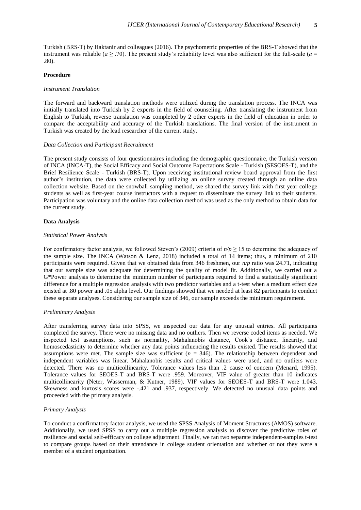Turkish (BRS-T) by Haktanir and colleagues (2016). The psychometric properties of the BRS-T showed that the instrument was reliable ( $a \geq .70$ ). The present study's reliability level was also sufficient for the full-scale ( $a =$ .80).

#### **Procedure**

### *Instrument Translation*

The forward and backward translation methods were utilized during the translation process. The INCA was initially translated into Turkish by 2 experts in the field of counseling. After translating the instrument from English to Turkish, reverse translation was completed by 2 other experts in the field of education in order to compare the acceptability and accuracy of the Turkish translations. The final version of the instrument in Turkish was created by the lead researcher of the current study.

#### *Data Collection and Participant Recruitment*

The present study consists of four questionnaires including the demographic questionnaire, the Turkish version of INCA (INCA-T), the Social Efficacy and Social Outcome Expectations Scale - Turkish (SESOES-T), and the Brief Resilience Scale - Turkish (BRS-T). Upon receiving institutional review board approval from the first author"s institution, the data were collected by utilizing an online survey created through an online data collection website. Based on the snowball sampling method, we shared the survey link with first year college students as well as first-year course instructors with a request to disseminate the survey link to their students. Participation was voluntary and the online data collection method was used as the only method to obtain data for the current study.

#### **Data Analysis**

### *Statistical Power Analysis*

For confirmatory factor analysis, we followed Steven"s (2009) criteria of *n/p* ≥ 15 to determine the adequacy of the sample size. The INCA (Watson & Lenz, 2018) included a total of 14 items; thus, a minimum of 210 participants were required. Given that we obtained data from 346 freshmen, our *n/p* ratio was 24.71, indicating that our sample size was adequate for determining the quality of model fit. Additionally, we carried out a G\*Power analysis to determine the minimum number of participants required to find a statistically significant difference for a multiple regression analysis with two predictor variables and a t-test when a medium effect size existed at .80 power and .05 alpha level. Our findings showed that we needed at least 82 participants to conduct these separate analyses. Considering our sample size of 346, our sample exceeds the minimum requirement.

#### *Preliminary Analysis*

After transferring survey data into SPSS, we inspected our data for any unusual entries. All participants completed the survey. There were no missing data and no outliers. Then we reverse coded items as needed. We inspected test assumptions, such as normality, Mahalanobis distance, Cook"s distance, linearity, and homoscedasticity to determine whether any data points influencing the results existed. The results showed that assumptions were met. The sample size was sufficient  $(n = 346)$ . The relationship between dependent and independent variables was linear. Mahalanobis results and critical values were used, and no outliers were detected. There was no multicollinearity. Tolerance values less than .2 cause of concern (Menard, 1995). Tolerance values for SEOES-T and BRS-T were .959. Moreover, VIF value of greater than 10 indicates multicollinearity (Neter, Wasserman, & Kutner, 1989). VIF values for SEOES-T and BRS-T were 1.043. Skewness and kurtosis scores were -.421 and .937, respectively. We detected no unusual data points and proceeded with the primary analysis.

#### *Primary Analysis*

To conduct a confirmatory factor analysis, we used the SPSS Analysis of Moment Structures (AMOS) software. Additionally, we used SPSS to carry out a multiple regression analysis to discover the predictive roles of resilience and social self-efficacy on college adjustment. Finally, we ran two separate independent-samples t-test to compare groups based on their attendance in college student orientation and whether or not they were a member of a student organization.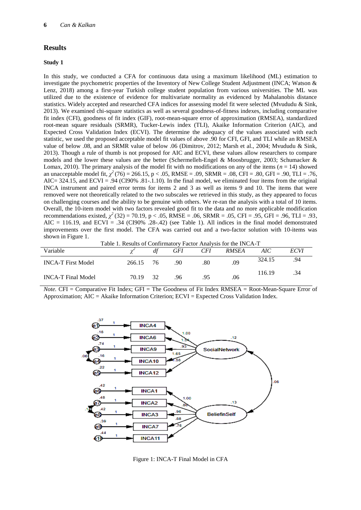# **Results**

#### **Study 1**

In this study, we conducted a CFA for continuous data using a maximum likelihood (ML) estimation to investigate the psychometric properties of the Inventory of New College Student Adjustment (INCA; Watson & Lenz, 2018) among a first-year Turkish college student population from various universities. The ML was utilized due to the existence of evidence for multivariate normality as evidenced by Mahalanobis distance statistics. Widely accepted and researched CFA indices for assessing model fit were selected (Mvududu & Sink, 2013). We examined chi-square statistics as well as several goodness-of-fitness indexes, including comparative fit index (CFI), goodness of fit index (GIF), root-mean-square error of approximation (RMSEA), standardized root-mean square residuals (SRMR), Tucker-Lewis index (TLI), Akaike Information Criterion (AIC), and Expected Cross Validation Index (ECVI). The determine the adequacy of the values associated with each statistic, we used the proposed acceptable model fit values of above .90 for CFI, GFI, and TLI while an RMSEA value of below .08, and an SRMR value of below .06 (Dimitrov, 2012; Marsh et al., 2004; Mvududu & Sink, 2013). Though a rule of thumb is not proposed for AIC and ECVI, these values allow researchers to compare models and the lower these values are the better (Schermelleh-Engel & Moosbrugger, 2003; Schumacker & Lomax, 2010). The primary analysis of the model fit with no modifications on any of the items  $(n = 14)$  showed an unacceptable model fit,  $\chi^2(76) = 266.15$ , p < .05, RMSE = .09, SRMR = .08, CFI = .80, GFI = .90, TLI = .76, AIC= 324.15, and ECVI = .94 (CI90% .81-.1.10). In the final model, we eliminated four items from the original INCA instrument and paired error terms for items 2 and 3 as well as items 9 and 10. The items that were removed were not theoretically related to the two subscales we retrieved in this study, as they appeared to focus on challenging courses and the ability to be genuine with others. We re-ran the analysis with a total of 10 items. Overall, the 10-item model with two factors revealed good fit to the data and no more applicable modification recommendations existed,  $\chi^2$  (32) = 70.19, p < .05, RMSE = .06, SRMR = .05, CFI = .95, GFI = .96, TLI = .93,  $AIC = 116.19$ , and  $ECVI = .34$  (CI90% .28-.42) (see Table 1). All indices in the final model demonstrated improvements over the first model. The CFA was carried out and a two-factor solution with 10-items was shown in Figure 1.

Table 1. Results of Confirmatory Factor Analysis for the INCA-T

| Variable                  |           | df   | GFI | <b>CFI</b> | <b>RMSEA</b> | AIC    | ECVI |
|---------------------------|-----------|------|-----|------------|--------------|--------|------|
| <b>INCA-T First Model</b> | 266.15 76 |      | .90 | .80        | .09          | 324.15 | .94  |
| <b>INCA-T</b> Final Model | 70.19     | - 32 | .96 | .95        | .06          | 116.19 | .34  |

*Note.* CFI = Comparative Fit Index; GFI = The Goodness of Fit Index RMSEA = Root-Mean-Square Error of Approximation; AIC = Akaike Information Criterion; ECVI = Expected Cross Validation Index.



Figure 1: INCA-T Final Model in CFA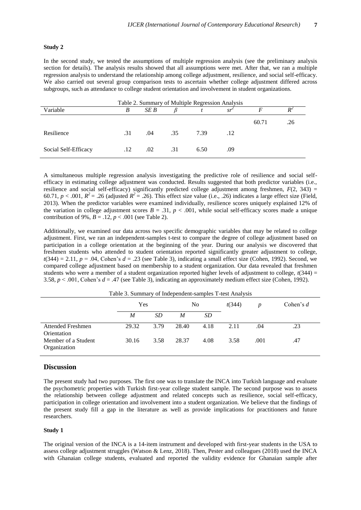#### **Study 2**

In the second study, we tested the assumptions of multiple regression analysis (see the preliminary analysis section for details). The analysis results showed that all assumptions were met. After that, we ran a multiple regression analysis to understand the relationship among college adjustment, resilience, and social self-efficacy. We also carried out several group comparison tests to ascertain whether college adjustment differed across subgroups, such as attendance to college student orientation and involvement in student organizations.

| Table 2. Summary of Multiple Regression Analysis |     |         |     |      |     |       |     |  |
|--------------------------------------------------|-----|---------|-----|------|-----|-------|-----|--|
| Variable                                         | B   | SE B    |     |      | sr  |       |     |  |
|                                                  |     |         |     |      |     | 60.71 | .26 |  |
| Resilience                                       | .31 | .04     | .35 | 7.39 | .12 |       |     |  |
| Social Self-Efficacy                             | .12 | $.02\,$ | .31 | 6.50 | .09 |       |     |  |

A simultaneous multiple regression analysis investigating the predictive role of resilience and social selfefficacy in estimating college adjustment was conducted. Results suggested that both predictor variables (i.e., resilience and social self-efficacy) significantly predicted college adjustment among freshmen,  $F(2, 343) =$ 60.71,  $p < .001$ ,  $R^2 = .26$  (adjusted  $R^2 = .26$ ). This effect size value (i.e., .26) indicates a large effect size (Field, 2013). When the predictor variables were examined individually, resilience scores uniquely explained 12% of the variation in college adjustment scores  $B = .31$ ,  $p < .001$ , while social self-efficacy scores made a unique contribution of 9%,  $B = .12$ ,  $p < .001$  (see Table 2).

Additionally, we examined our data across two specific demographic variables that may be related to college adjustment. First, we ran an independent-samples t-test to compare the degree of college adjustment based on participation in a college orientation at the beginning of the year. During our analysis we discovered that freshmen students who attended to student orientation reported significantly greater adjustment to college,  $t(344) = 2.11$ ,  $p = .04$ , Cohen's  $d = .23$  (see Table 3), indicating a small effect size (Cohen, 1992). Second, we compared college adjustment based on membership to a student organization. Our data revealed that freshmen students who were a member of a student organization reported higher levels of adjustment to college, *t*(344) = 3.58,  $p < .001$ , Cohen's  $d = .47$  (see Table 3), indicating an approximately medium effect size (Cohen, 1992).

|                                         | Yes   |      | No    |      | t(344) |      | Cohen's $d$ |  |
|-----------------------------------------|-------|------|-------|------|--------|------|-------------|--|
|                                         | M     | SD.  | M     | SD   |        |      |             |  |
| <b>Attended Freshmen</b><br>Orientation | 29.32 | 3.79 | 28.40 | 4.18 | 2.11   | .04  | .23         |  |
| Member of a Student<br>Organization     | 30.16 | 3.58 | 28.37 | 4.08 | 3.58   | .001 | .47         |  |

Table 3. Summary of Independent-samples T-test Analysis

#### **Discussion**

The present study had two purposes. The first one was to translate the INCA into Turkish language and evaluate the psychometric properties with Turkish first-year college student sample. The second purpose was to assess the relationship between college adjustment and related concepts such as resilience, social self-efficacy, participation in college orientation and involvement into a student organization. We believe that the findings of the present study fill a gap in the literature as well as provide implications for practitioners and future researchers.

#### **Study 1**

The original version of the INCA is a 14-item instrument and developed with first-year students in the USA to assess college adjustment struggles (Watson & Lenz, 2018). Then, Pester and colleagues (2018) used the INCA with Ghanaian college students, evaluated and reported the validity evidence for Ghanaian sample after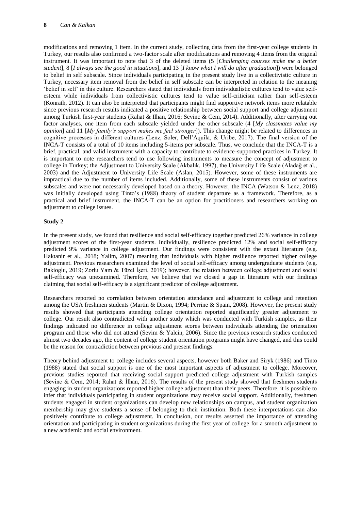modifications and removing 1 item. In the current study, collecting data from the first-year college students in Turkey, our results also confirmed a two-factor scale after modifications and removing 4 items from the original instrument. It was important to note that 3 of the deleted items (5 [*Challenging courses make me a better student*], 8 [*I always see the good in situations*], and 13 [*I know what I will do after graduation*]) were belonged to belief in self subscale. Since individuals participating in the present study live in a collectivistic culture in Turkey, necessary item removal from the belief in self subscale can be interpreted in relation to the meaning "belief in self" in this culture. Researchers stated that individuals from individualistic cultures tend to value selfesteem while individuals from collectivistic cultures tend to value self-criticism rather than self-esteem (Konrath, 2012). It can also be interpreted that participants might find supportive network items more relatable since previous research results indicated a positive relationship between social support and college adjustment among Turkish first-year students (Rahat & Ilhan, 2016; Sevinc & Cem, 2014). Additionally, after carrying out factor analyses, one item from each subscale yielded under the other subscale (4 [*My classmates value my opinion*] and 11 [*My family's support makes me feel stronger*]). This change might be related to differences in cognitive processes in different cultures (Lenz, Soler, Dell"Aquila, & Uribe, 2017). The final version of the INCA-T consists of a total of 10 items including 5-items per subscale. Thus, we conclude that the INCA-T is a brief, practical, and valid instrument with a capacity to contribute to evidence-supported practices in Turkey. It is important to note researchers tend to use following instruments to measure the concept of adjustment to college in Turkey; the Adjustment to University Scale (Akbalık, 1997), the University Life Scale (Aladağ et al., 2003) and the Adjustment to University Life Scale (Aslan, 2015). However, some of these instruments are impractical due to the number of items included. Additionally, some of these instruments consist of various subscales and were not necessarily developed based on a theory. However, the INCA (Watson & Lenz, 2018) was initially developed using Tinto's (1988) theory of student departure as a framework. Therefore, as a practical and brief instrument, the INCA-T can be an option for practitioners and researchers working on adjustment to college issues.

# **Study 2**

In the present study, we found that resilience and social self-efficacy together predicted 26% variance in college adjustment scores of the first-year students. Individually, resilience predicted 12% and social self-efficacy predicted 9% variance in college adjustment. Our findings were consistent with the extant literature (e.g. Haktanir et al., 2018; Yalim, 2007) meaning that individuals with higher resilience reported higher college adjustment. Previous researchers examined the level of social self-efficacy among undergraduate students (e.g. Bakioglu, 2019; Zorlu Yam & Tüzel İşeri, 2019); however, the relation between college adjustment and social self-efficacy was unexamined. Therefore, we believe that we closed a gap in literature with our findings claiming that social self-efficacy is a significant predictor of college adjustment.

Researchers reported no correlation between orientation attendance and adjustment to college and retention among the USA freshmen students (Martin & Dixon, 1994; Perrine & Spain, 2008). However, the present study results showed that participants attending college orientation reported significantly greater adjustment to college. Our result also contradicted with another study which was conducted with Turkish samples, as their findings indicated no difference in college adjustment scores between individuals attending the orientation program and those who did not attend (Sevim & Yalcin, 2006). Since the previous research studies conducted almost two decades ago, the content of college student orientation programs might have changed, and this could be the reason for contradiction between previous and present findings.

Theory behind adjustment to college includes several aspects, however both Baker and Siryk (1986) and Tinto (1988) stated that social support is one of the most important aspects of adjustment to college. Moreover, previous studies reported that receiving social support predicted college adjustment with Turkish samples (Sevinc & Cem, 2014; Rahat & İlhan, 2016). The results of the present study showed that freshmen students engaging in student organizations reported higher college adjustment than their peers. Therefore, it is possible to infer that individuals participating in student organizations may receive social support. Additionally, freshmen students engaged in student organizations can develop new relationships on campus, and student organization membership may give students a sense of belonging to their institution. Both these interpretations can also positively contribute to college adjustment. In conclusion, our results asserted the importance of attending orientation and participating in student organizations during the first year of college for a smooth adjustment to a new academic and social environment.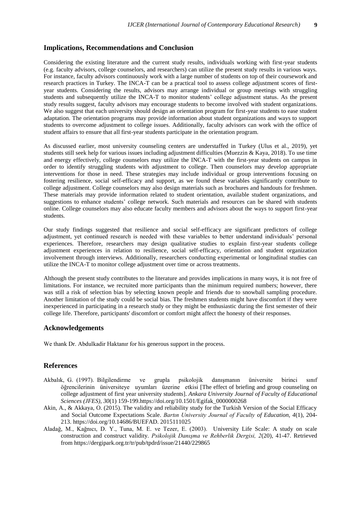# **Implications, Recommendations and Conclusion**

Considering the existing literature and the current study results, individuals working with first-year students (e.g. faculty advisors, college counselors, and researchers) can utilize the present study results in various ways. For instance, faculty advisors continuously work with a large number of students on top of their coursework and research practices in Turkey. The INCA-T can be a practical tool to assess college adjustment scores of firstyear students. Considering the results, advisors may arrange individual or group meetings with struggling students and subsequently utilize the INCA-T to monitor students" college adjustment status. As the present study results suggest, faculty advisors may encourage students to become involved with student organizations. We also suggest that each university should design an orientation program for first-year students to ease student adaptation. The orientation programs may provide information about student organizations and ways to support students to overcome adjustment to college issues. Additionally, faculty advisors can work with the office of student affairs to ensure that all first-year students participate in the orientation program.

As discussed earlier, most university counseling centers are understaffed in Turkey (Ulus et al., 2019), yet students still seek help for various issues including adjustment difficulties (Muezzin & Kaya, 2018). To use time and energy effectively, college counselors may utilize the INCA-T with the first-year students on campus in order to identify struggling students with adjustment to college. Then counselors may develop appropriate interventions for those in need. These strategies may include individual or group interventions focusing on fostering resilience, social self-efficacy and support, as we found these variables significantly contribute to college adjustment. College counselors may also design materials such as brochures and handouts for freshmen. These materials may provide information related to student orientation, available student organizations, and suggestions to enhance students' college network. Such materials and resources can be shared with students online. College counselors may also educate faculty members and advisors about the ways to support first-year students.

Our study findings suggested that resilience and social self-efficacy are significant predictors of college adjustment, yet continued research is needed with these variables to better understand individuals" personal experiences. Therefore, researchers may design qualitative studies to explain first-year students college adjustment experiences in relation to resilience, social self-efficacy, orientation and student organization involvement through interviews. Additionally, researchers conducting experimental or longitudinal studies can utilize the INCA-T to monitor college adjustment over time or across treatments.

Although the present study contributes to the literature and provides implications in many ways, it is not free of limitations. For instance, we recruited more participants than the minimum required numbers; however, there was still a risk of selection bias by selecting known people and friends due to snowball sampling procedure. Another limitation of the study could be social bias. The freshmen students might have discomfort if they were inexperienced in participating in a research study or they might be enthusiastic during the first semester of their college life. Therefore, participants' discomfort or comfort might affect the honesty of their responses.

# **Acknowledgements**

We thank Dr. Abdulkadir Haktanır for his generous support in the process.

## **References**

- Akbalık, G. (1997). Bilgilendirme ve grupla psikolojik danışmanın üniversite birinci sınıf öğrencilerinin üniversiteye uyumları üzerine etkisi [The effect of briefing and group counseling on college adjustment of first year university students]. *Ankara University Journal of Faculty of Educational Sciences (JFES), 30*(1) 159-199.https://doi.org/10.1501/Egifak\_0000000268
- Akin, A., & Akkaya, O. (2015). The validity and reliability study for the Turkish Version of the Social Efficacy and Social Outcome Expectations Scale. *Bartın University Journal of Faculty of Education, 4*(1), 204- 213. https://doi.org/10.14686/BUEFAD. 2015111025
- Aladağ, M., Kağnıcı, D. Y., Tuna, M. E. ve Tezer, E. (2003). University Life Scale: A study on scale construction and construct validity. *Psikolojik Danışma ve Rehberlik Dergisi, 2*(20), 41-47. Retrieved from https://dergipark.org.tr/tr/pub/tpdrd/issue/21440/229865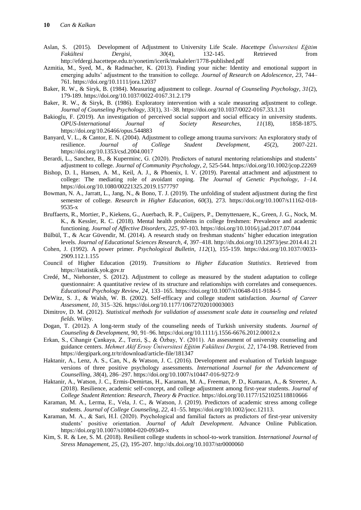- Aslan, S. (2015). Development of Adjustment to University Life Scale. *Hacettepe Üniversitesi Eğitim Fakültesi Dergisi, 30*(4), 132-145. Retrieved from http://efdergi.hacettepe.edu.tr/yonetim/icerik/makaleler/1778-published.pdf
- Azmitia, M., Syed, M., & Radmacher, K. (2013). Finding your niche: Identity and emotional support in emerging adults" adjustment to the transition to college. *Journal of Research on Adolescence, 23*, 744– 761. https://doi.org/10.1111/jora.12037
- Baker, R. W., & Siryk, B. (1984). Measuring adjustment to college. *Journal of Counseling Psychology, 31*(2), 179-189. https://doi.org/10.1037/0022-0167.31.2.179
- Baker, R. W., & Siryk, B. (1986). Exploratory intervention with a scale measuring adjustment to college. *Journal of Counseling Psychology, 33*(1), 31–38.<https://doi.org/10.1037/0022-0167.33.1.31>
- Bakioglu, F. (2019). An investigation of perceived social support and social efficacy in university students. *OPUS-International Journal of Society Researches, 11*(18), 1858-1875. https://doi.org/10.26466/opus.544883
- Banyard, V. L., & Cantor, E. N. (2004). Adjustment to college among trauma survivors: An exploratory study of resilience. Journal of College Student Development, 45(2), 2007-221. resilience. *Journal of College Student Development, 45*(2), 2007-221. https://doi.org/10.1353/csd.2004.0017
- Berardi, L., Sanchez, B., & Kuperminc, G. (2020). Predictors of natural mentoring relationships and students' adjustment to college. *Journal of Community Psychology*, *2*, 525-544. https://doi.org/10.1002/jcop.22269
- Bishop, D. I., Hansen, A. M., Keil, A. J., & Phoenix, I. V. (2019). Parental attachment and adjustment to college: The mediating role of avoidant coping. *The Journal of Genetic Psychology, 1–14.* https://doi.org/10.1080/00221325.2019.1577797
- Bowman, N. A., Jarratt, L., Jang, N., & Bono, T. J. (2019). The unfolding of student adjustment during the first semester of college. *Research in Higher Education*, *60*(3), 273. [https://doi.org/10.1007/s11162-018-](https://doi.org/10.1007/s11162-018-9535-x) [9535-x](https://doi.org/10.1007/s11162-018-9535-x)
- Bruffaerts, R., Mortier, P., Kiekens, G., Auerbach, R. P., Cuijpers, P., Demyttenaere, K., Green, J. G., Nock, M. K., & Kessler, R. C. (2018). Mental health problems in college freshmen: Prevalence and academic functioning. *Journal of Affective Disorders, 225*, 97-103. https://doi.org/10.1016/j.jad.2017.07.044
- Bülbül, T., & Acar Güvendir, M. (2014). A research study on freshman students' higher education integration levels. *Journal of Educational Sciences Research, 4,* 397–418. http://dx.doi.org/10.12973/jesr.2014.41.21
- Cohen, J. (1992). A power primer. *Psychological Bulletin, 112*(1), 155-159. https://doi.org/10.1037//0033- 2909.112.1.155
- Council of Higher Education (2019). *Transitions to Higher Education Statistics*. Retrieved from https://istatistik.yok.gov.tr
- Credé, M., Niehorster, S. (2012). Adjustment to college as measured by the student adaptation to college questionnaire: A quantitative review of its structure and relationships with correlates and consequences. *Educational Psychology Review, 24,* 133–165. <https://doi.org/10.1007/s10648-011-9184-5>
- DeWitz, S. J., & Walsh, W. B. (2002). Self-efficacy and college student satisfaction. *Journal of Career Assessment, 10,* 315–326. https://doi.org/10.1177/10672702010003003
- Dimitrov, D. M. (2012). *Statistical methods for validation of assessment scale data in counseling and related fields.* Wiley.
- Dogan, T. (2012). A long-term study of the counseling needs of Turkish university students. *Journal of Counseling & Development, 90*, 91–96. https://doi.org/10.1111/j.1556-6676.2012.00012.x
- Erkan, S., Cihangir Çankaya, Z., Terzi, Ş., & Özbay, Y. (2011). An assessment of university counseling and guidance centers. *Mehmet Akif Ersoy Üniversitesi Eğitim Fakültesi Dergisi, 22*, 174-198. Retrieved from https://dergipark.org.tr/tr/download/article-file/181347
- Haktanir, A., Lenz, A. S., Can, N., & Watson, J. C. (2016). Development and evaluation of Turkish language versions of three positive psychology assessments. *International Journal for the Advancement of Counselling, 38*(4), 286–297. [https://doi.org/10.1007/s10447-016-9272-9](https://psycnet.apa.org/doi/10.1007/s10447-016-9272-9)
- Haktanir, A., Watson, J. C., Ermis-Demirtas, H., Karaman, M. A., Freeman, P. D., Kumaran, A., & Streeter, A. (2018). Resilience, academic self-concept, and college adjustment among first-year students. *Journal of College Student Retention: Research, Theory & Practice.* https://doi.org/10.1177/1521025118810666
- Karaman, M. A., Lerma, E., Vela, J. C., & Watson, J. (2019). Predictors of academic stress among college students. *Journal of College Counseling, 22,* 41–55. https://doi.org/10.1002/jocc.12113.
- Karaman, M. A., & Sari, H.İ. (2020). Psychological and familial factors as predictors of first-year university students" positive orientation. *Journal of Adult Development*. Advance Online Publication[.](https://doi.org/10.1007/s10804-020-09349-x) https://doi.org/10.1007/s10804-020-09349-x
- Kim, S. R. & Lee, S. M. (2018). Resilient college students in school-to-work transition. *International Journal of Stress Management, 25,* (2), 195-207. http://dx.doi.org/10.1037/str0000060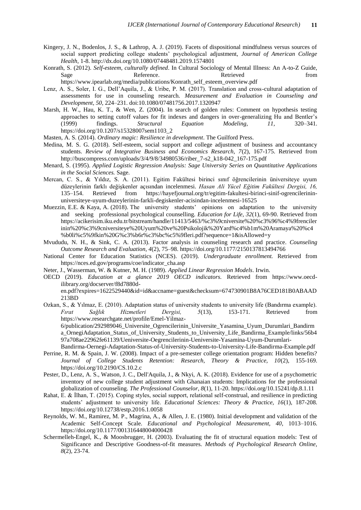- Kingery, J. N., Bodenlos, J. S., & Lathrop, A. J. (2019). Facets of dispositional mindfulness versus sources of social support predicting college students" psychological adjustment, *Journal of American College Health,* 1-8. http://dx.doi.org/10.1080/07448481.2019.1574801
- Konrath, S. (2012). *Self-esteem, culturally defined*. In Cultural Sociology of Mental Illness: An A-to-Z Guide, Sage Reference. Retrieved from Retrieved from

https://www.ipearlab.org/media/publications/Konrath\_self\_esteem\_overview.pdf

- Lenz, A. S., Soler, I. G., Dell"Aquila, J., & Uribe, P. M. (2017). Translation and cross-cultural adaptation of assessments for use in counseling research. *Measurement and Evaluation in Counseling and Development, 50*, 224–231. doi:10.1080/07481756.2017.1320947
- Marsh, H. W., Hau, K. T., & Wen, Z. (2004). In search of golden rules: Comment on hypothesis testing approaches to setting cutoff values for fit indexes and dangers in over-generalizing Hu and Bentler"s (1999) findings. *Structural Equation Modeling, 11,* 320–341. https://doi.org/10.1207/s15328007sem1103\_2
- Masten, A. S. (2014). *Ordinary magic: Resilience in development*. The Guilford Press.
- Medina, M. S. G. (2018). Self-esteem, social support and college adjustment of business and accountancy students. *Review of Integrative Business and Economics Research, 7*(2), 167-175. Retrieved from http://buscompress.com/uploads/3/4/9/8/34980536/riber\_7-s2\_k18-042\_167-175.pdf
- Menard, S. (1995). *Applied Logistic Regression Analysis: Sage University Series on Quantitative Applications in the Social Sciences.* Sage.
- Mercan, C. S., & Yıldız, S. A. (2011). Egitim Fakültesi birinci sınıf öğrencilerinin üniversiteye uyum düzeylerinin farklı değişkenler açısından incelenmesi. *Hasan Ali Yücel Eğitim Fakültesi Dergisi, 16,*  135–154. Retrieved from https://hayefjournal.org/tr/egitim-fakultesi-birinci-sinif-ogrencilerininuniversiteye-uyum-duzeylerinin-farkli-degiskenler-acisindan-incelenmesi-16525
- Muezzin, E.E. & Kaya, A. (2018). The university students" opinions on adaptation to the university and seeking professional psychological counselling. *Education for Life, 32*(1), 69-90. Retrieved from https://acikerisim.iku.edu.tr/bitstream/handle/11413/5463/%c3%9cniversite%20%c3%96%c4%9frenciler inin%20%c3%9cniversiteye%20Uyum%20ve%20Psikolojik%20Yard%c4%b1m%20Aramaya%20%c4 %b0li%c5%9fkin%20G%c3%b6r%c3%bc%c5%9fleri.pdf?sequence=1&isAllowed=y
- Mvududu, N. H., & Sink, C. A. (2013). Factor analysis in counseling research and practice. *Counseling Outcome Research and Evaluation, 4*(2), 75–98. https://doi.org/10.1177/2150137813494766
- National Center for Education Statistics (NCES). (2019). *Undergraduate enrollment.* Retrieved from https://nces.ed.gov/programs/coe/indicator\_cha.asp
- Neter, J., Wasserman, W. & Kutner, M. H. (1989). *Applied Linear Regression Models*. Irwin.
- OECD (2019). *Education at a glance 2019 OECD indicators.* Retrieved from https://www.oecdilibrary.org/docserver/f8d7880den.pdf?expires=1622529440&id=id&accname=guest&checksum=674730901B8A76CED181B0ABAAD

213BD

Ozkan, S., & Yılmaz, E. (2010). Adaptation status of university students to university life (Bandırma example). *Fırat Sağlık Hizmetleri Dergisi, 5*(13), 153-171. Retrieved from https://www.researchgate.net/profile/Emel-Yilmaz-

6/publication/292989046\_Universite\_Ogrencilerinin\_Universite\_Yasamina\_Uyum\_Durumlari\_Bandirm a\_OrnegiAdaptation\_Status\_of\_University\_Students\_to\_University\_Life\_Bandirma\_Example/links/56b4 97a708ae22962fe61139/Ueniversite-Oegrencilerinin-Ueniversite-Yasamina-Uyum-Durumlari-

- Bandirma-Oernegi-Adaptation-Status-of-University-Students-to-University-Life-Bandirma-Example.pdf Perrine, R. M. & Spain, J. W. (2008). Impact of a pre-semester college orientation program: Hidden benefits? *Journal of College Students Retention: Research, Theory & Practice, 10*(2), 155-169. https://doi.org/10.2190/CS.10.2.c
- Pester, D., Lenz, A. S., Watson, J. C., Dell'Aquila, J., & Nkyi, A. K. (2018). Evidence for use of a psychometric inventory of new college student adjustment with Ghanaian students: Implications for the professional globalization of counseling. *The Professional Counselor, 8*(1), 11-20. https://doi.org/10.15241/dp.8.1.11
- Rahat, E. & İlhan, T. (2015). Coping styles, social support, relational self-construal, and resilience in predicting students" adjustment to university life. *Educational Sciences: Theory & Practice, 16*(1), 187-208. https://doi.org/10.12738/estp.2016.1.0058
- Reynolds, W. M., Ramirez, M. P., Magrina, A., & Allen, J. E. (1980). Initial development and validation of the Academic Self-Concept Scale. *Educational and Psychological Measurement, 40*, 1013–1016. https://doi.org/10.1177/001316448004000428
- Schermelleh-Engel, K., & Moosbrugger, H. (2003). Evaluating the fit of structural equation models: Test of Significance and Descriptive Goodness-of-fit measures. *Methods of Psychological Research Online, 8*(2), 23-74.